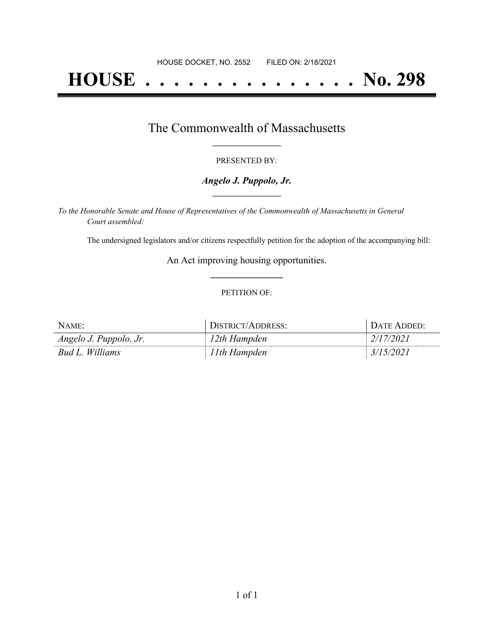# **HOUSE . . . . . . . . . . . . . . . No. 298**

### The Commonwealth of Massachusetts **\_\_\_\_\_\_\_\_\_\_\_\_\_\_\_\_\_**

#### PRESENTED BY:

#### *Angelo J. Puppolo, Jr.* **\_\_\_\_\_\_\_\_\_\_\_\_\_\_\_\_\_**

*To the Honorable Senate and House of Representatives of the Commonwealth of Massachusetts in General Court assembled:*

The undersigned legislators and/or citizens respectfully petition for the adoption of the accompanying bill:

An Act improving housing opportunities. **\_\_\_\_\_\_\_\_\_\_\_\_\_\_\_**

#### PETITION OF:

| NAME:                  | DISTRICT/ADDRESS: | DATE ADDED: |
|------------------------|-------------------|-------------|
| Angelo J. Puppolo, Jr. | 12th Hampden      | 2/17/2021   |
| Bud L. Williams        | 11th Hampden      | 3/15/2021   |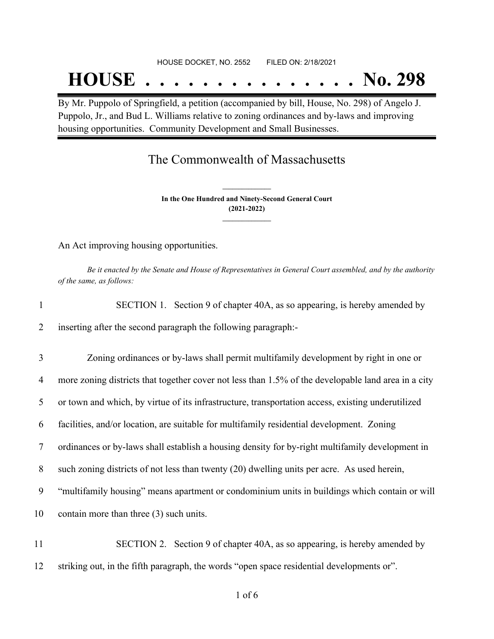#### HOUSE DOCKET, NO. 2552 FILED ON: 2/18/2021

## **HOUSE . . . . . . . . . . . . . . . No. 298**

By Mr. Puppolo of Springfield, a petition (accompanied by bill, House, No. 298) of Angelo J. Puppolo, Jr., and Bud L. Williams relative to zoning ordinances and by-laws and improving housing opportunities. Community Development and Small Businesses.

## The Commonwealth of Massachusetts

**In the One Hundred and Ninety-Second General Court (2021-2022) \_\_\_\_\_\_\_\_\_\_\_\_\_\_\_**

**\_\_\_\_\_\_\_\_\_\_\_\_\_\_\_**

An Act improving housing opportunities.

Be it enacted by the Senate and House of Representatives in General Court assembled, and by the authority *of the same, as follows:*

| 1  | SECTION 1. Section 9 of chapter 40A, as so appearing, is hereby amended by                          |
|----|-----------------------------------------------------------------------------------------------------|
| 2  | inserting after the second paragraph the following paragraph:-                                      |
| 3  | Zoning ordinances or by-laws shall permit multifamily development by right in one or                |
| 4  | more zoning districts that together cover not less than 1.5% of the developable land area in a city |
| 5  | or town and which, by virtue of its infrastructure, transportation access, existing under utilized  |
| 6  | facilities, and/or location, are suitable for multifamily residential development. Zoning           |
| 7  | ordinances or by-laws shall establish a housing density for by-right multifamily development in     |
| 8  | such zoning districts of not less than twenty (20) dwelling units per acre. As used herein,         |
| 9  | "multifamily housing" means apartment or condominium units in buildings which contain or will       |
| 10 | contain more than three (3) such units.                                                             |

11 SECTION 2. Section 9 of chapter 40A, as so appearing, is hereby amended by 12 striking out, in the fifth paragraph, the words "open space residential developments or".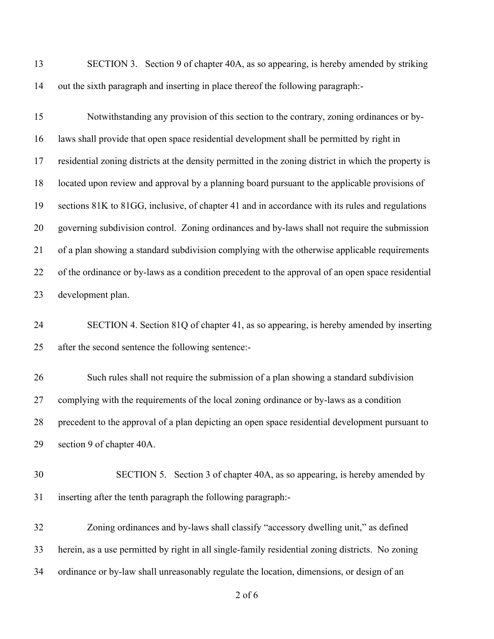SECTION 3. Section 9 of chapter 40A, as so appearing, is hereby amended by striking out the sixth paragraph and inserting in place thereof the following paragraph:-

 Notwithstanding any provision of this section to the contrary, zoning ordinances or by- laws shall provide that open space residential development shall be permitted by right in residential zoning districts at the density permitted in the zoning district in which the property is located upon review and approval by a planning board pursuant to the applicable provisions of sections 81K to 81GG, inclusive, of chapter 41 and in accordance with its rules and regulations governing subdivision control. Zoning ordinances and by-laws shall not require the submission of a plan showing a standard subdivision complying with the otherwise applicable requirements of the ordinance or by-laws as a condition precedent to the approval of an open space residential development plan.

 SECTION 4. Section 81Q of chapter 41, as so appearing, is hereby amended by inserting after the second sentence the following sentence:-

 Such rules shall not require the submission of a plan showing a standard subdivision complying with the requirements of the local zoning ordinance or by-laws as a condition precedent to the approval of a plan depicting an open space residential development pursuant to section 9 of chapter 40A.

- SECTION 5. Section 3 of chapter 40A, as so appearing, is hereby amended by inserting after the tenth paragraph the following paragraph:-
- Zoning ordinances and by-laws shall classify "accessory dwelling unit," as defined herein, as a use permitted by right in all single-family residential zoning districts. No zoning ordinance or by-law shall unreasonably regulate the location, dimensions, or design of an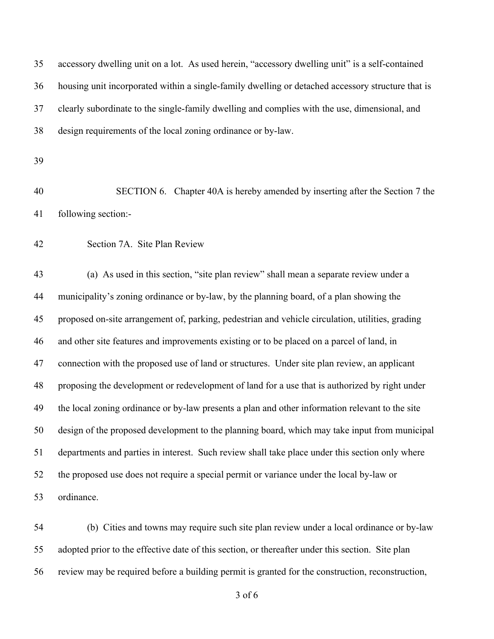accessory dwelling unit on a lot. As used herein, "accessory dwelling unit" is a self-contained housing unit incorporated within a single-family dwelling or detached accessory structure that is clearly subordinate to the single-family dwelling and complies with the use, dimensional, and design requirements of the local zoning ordinance or by-law. SECTION 6. Chapter 40A is hereby amended by inserting after the Section 7 the following section:- Section 7A. Site Plan Review (a) As used in this section, "site plan review" shall mean a separate review under a municipality's zoning ordinance or by-law, by the planning board, of a plan showing the proposed on-site arrangement of, parking, pedestrian and vehicle circulation, utilities, grading and other site features and improvements existing or to be placed on a parcel of land, in connection with the proposed use of land or structures. Under site plan review, an applicant proposing the development or redevelopment of land for a use that is authorized by right under the local zoning ordinance or by-law presents a plan and other information relevant to the site design of the proposed development to the planning board, which may take input from municipal departments and parties in interest. Such review shall take place under this section only where the proposed use does not require a special permit or variance under the local by-law or ordinance.

 (b) Cities and towns may require such site plan review under a local ordinance or by-law adopted prior to the effective date of this section, or thereafter under this section. Site plan review may be required before a building permit is granted for the construction, reconstruction,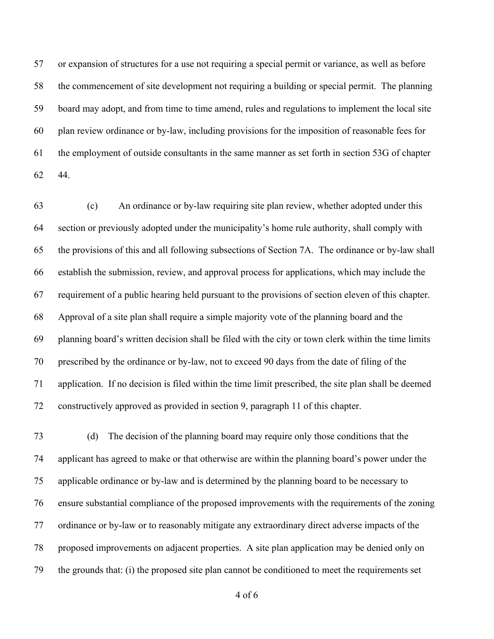or expansion of structures for a use not requiring a special permit or variance, as well as before the commencement of site development not requiring a building or special permit. The planning board may adopt, and from time to time amend, rules and regulations to implement the local site plan review ordinance or by-law, including provisions for the imposition of reasonable fees for the employment of outside consultants in the same manner as set forth in section 53G of chapter 44.

 (c) An ordinance or by-law requiring site plan review, whether adopted under this section or previously adopted under the municipality's home rule authority, shall comply with the provisions of this and all following subsections of Section 7A. The ordinance or by-law shall establish the submission, review, and approval process for applications, which may include the requirement of a public hearing held pursuant to the provisions of section eleven of this chapter. Approval of a site plan shall require a simple majority vote of the planning board and the planning board's written decision shall be filed with the city or town clerk within the time limits prescribed by the ordinance or by-law, not to exceed 90 days from the date of filing of the application. If no decision is filed within the time limit prescribed, the site plan shall be deemed constructively approved as provided in section 9, paragraph 11 of this chapter.

 (d) The decision of the planning board may require only those conditions that the applicant has agreed to make or that otherwise are within the planning board's power under the applicable ordinance or by-law and is determined by the planning board to be necessary to ensure substantial compliance of the proposed improvements with the requirements of the zoning ordinance or by-law or to reasonably mitigate any extraordinary direct adverse impacts of the proposed improvements on adjacent properties. A site plan application may be denied only on the grounds that: (i) the proposed site plan cannot be conditioned to meet the requirements set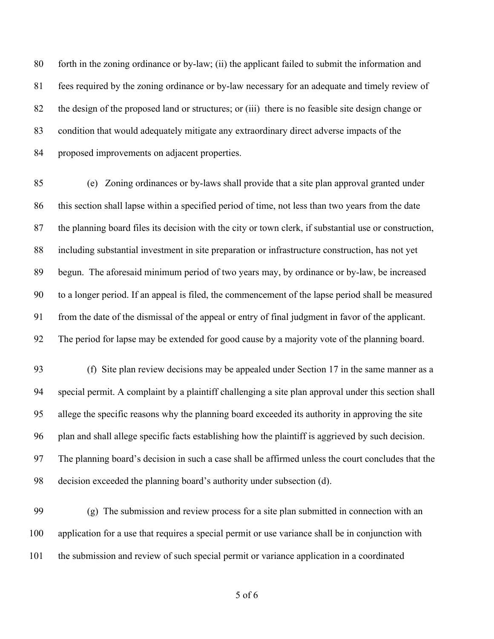forth in the zoning ordinance or by-law; (ii) the applicant failed to submit the information and fees required by the zoning ordinance or by-law necessary for an adequate and timely review of the design of the proposed land or structures; or (iii) there is no feasible site design change or condition that would adequately mitigate any extraordinary direct adverse impacts of the proposed improvements on adjacent properties.

 (e) Zoning ordinances or by-laws shall provide that a site plan approval granted under this section shall lapse within a specified period of time, not less than two years from the date the planning board files its decision with the city or town clerk, if substantial use or construction, including substantial investment in site preparation or infrastructure construction, has not yet begun. The aforesaid minimum period of two years may, by ordinance or by-law, be increased to a longer period. If an appeal is filed, the commencement of the lapse period shall be measured from the date of the dismissal of the appeal or entry of final judgment in favor of the applicant. The period for lapse may be extended for good cause by a majority vote of the planning board.

 (f) Site plan review decisions may be appealed under Section 17 in the same manner as a special permit. A complaint by a plaintiff challenging a site plan approval under this section shall allege the specific reasons why the planning board exceeded its authority in approving the site plan and shall allege specific facts establishing how the plaintiff is aggrieved by such decision. The planning board's decision in such a case shall be affirmed unless the court concludes that the decision exceeded the planning board's authority under subsection (d).

 (g) The submission and review process for a site plan submitted in connection with an application for a use that requires a special permit or use variance shall be in conjunction with the submission and review of such special permit or variance application in a coordinated